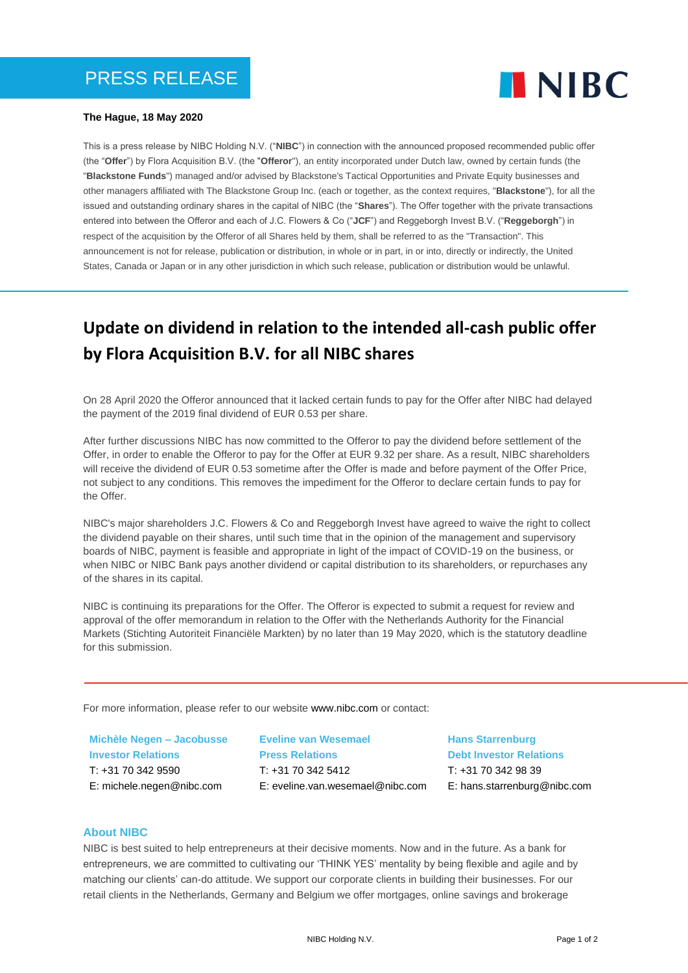

## **The Hague, 18 May 2020**

This is a press release by NIBC Holding N.V. ("**NIBC**") in connection with the announced proposed recommended public offer (the "**Offer**") by Flora Acquisition B.V. (the "**Offeror**"), an entity incorporated under Dutch law, owned by certain funds (the "**Blackstone Funds**") managed and/or advised by Blackstone's Tactical Opportunities and Private Equity businesses and other managers affiliated with The Blackstone Group Inc. (each or together, as the context requires, "**Blackstone**"), for all the issued and outstanding ordinary shares in the capital of NIBC (the "**Shares**"). The Offer together with the private transactions entered into between the Offeror and each of J.C. Flowers & Co ("**JCF**") and Reggeborgh Invest B.V. ("**Reggeborgh**") in respect of the acquisition by the Offeror of all Shares held by them, shall be referred to as the "Transaction". This announcement is not for release, publication or distribution, in whole or in part, in or into, directly or indirectly, the United States, Canada or Japan or in any other jurisdiction in which such release, publication or distribution would be unlawful.

# **Update on dividend in relation to the intended all-cash public offer by Flora Acquisition B.V. for all NIBC shares**

On 28 April 2020 the Offeror announced that it lacked certain funds to pay for the Offer after NIBC had delayed the payment of the 2019 final dividend of EUR 0.53 per share.

After further discussions NIBC has now committed to the Offeror to pay the dividend before settlement of the Offer, in order to enable the Offeror to pay for the Offer at EUR 9.32 per share. As a result, NIBC shareholders will receive the dividend of EUR 0.53 sometime after the Offer is made and before payment of the Offer Price, not subject to any conditions. This removes the impediment for the Offeror to declare certain funds to pay for the Offer.

NIBC's major shareholders J.C. Flowers & Co and Reggeborgh Invest have agreed to waive the right to collect the dividend payable on their shares, until such time that in the opinion of the management and supervisory boards of NIBC, payment is feasible and appropriate in light of the impact of COVID-19 on the business, or when NIBC or NIBC Bank pays another dividend or capital distribution to its shareholders, or repurchases any of the shares in its capital.

NIBC is continuing its preparations for the Offer. The Offeror is expected to submit a request for review and approval of the offer memorandum in relation to the Offer with the Netherlands Authority for the Financial Markets (Stichting Autoriteit Financiële Markten) by no later than 19 May 2020, which is the statutory deadline for this submission.

For more information, please refer to our website www.nibc.com or contact:

**Michèle Negen – Jacobusse Investor Relations** T: +31 70 342 9590 E: michele.negen@nibc.com

**Eveline van Wesemael Press Relations**  $T: +3170.342.5412$ E: eveline.van.wesemael@nibc.com **Hans Starrenburg Debt Investor Relations** T: +31 70 342 98 39 E: hans.starrenburg@nibc.com

# **About NIBC**

NIBC is best suited to help entrepreneurs at their decisive moments. Now and in the future. As a bank for entrepreneurs, we are committed to cultivating our 'THINK YES' mentality by being flexible and agile and by matching our clients' can-do attitude. We support our corporate clients in building their businesses. For our retail clients in the Netherlands, Germany and Belgium we offer mortgages, online savings and brokerage